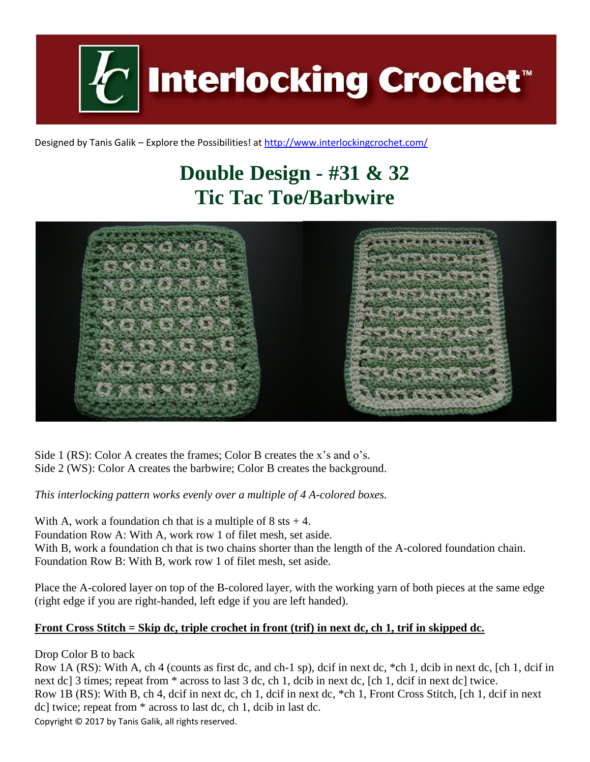**Interlocking Crochet** 

Designed by Tanis Galik – Explore the Possibilities! a[t http://www.interlockingcrochet.com/](http://www.interlockingcrochet.com/)

## **Double Design - #31 & 32 Tic Tac Toe/Barbwire**



Side 1 (RS): Color A creates the frames; Color B creates the x's and o's. Side 2 (WS): Color A creates the barbwire; Color B creates the background.

*This interlocking pattern works evenly over a multiple of 4 A-colored boxes.*

With A, work a foundation ch that is a multiple of  $8$  sts  $+4$ . Foundation Row A: With A, work row 1 of filet mesh, set aside. With B, work a foundation ch that is two chains shorter than the length of the A-colored foundation chain. Foundation Row B: With B, work row 1 of filet mesh, set aside.

Place the A-colored layer on top of the B-colored layer, with the working yarn of both pieces at the same edge (right edge if you are right-handed, left edge if you are left handed).

## **Front Cross Stitch = Skip dc, triple crochet in front (trif) in next dc, ch 1, trif in skipped dc.**

Drop Color B to back

Copyright © 2017 by Tanis Galik, all rights reserved. Row 1A (RS): With A, ch 4 (counts as first dc, and ch-1 sp), dcif in next dc, \*ch 1, dcib in next dc, [ch 1, dcif in next dc] 3 times; repeat from  $*$  across to last 3 dc, ch 1, dcib in next dc, [ch 1, dcif in next dc] twice. Row 1B (RS): With B, ch 4, dcif in next dc, ch 1, dcif in next dc, \*ch 1, Front Cross Stitch, [ch 1, dcif in next dc] twice; repeat from \* across to last dc, ch 1, dcib in last dc.